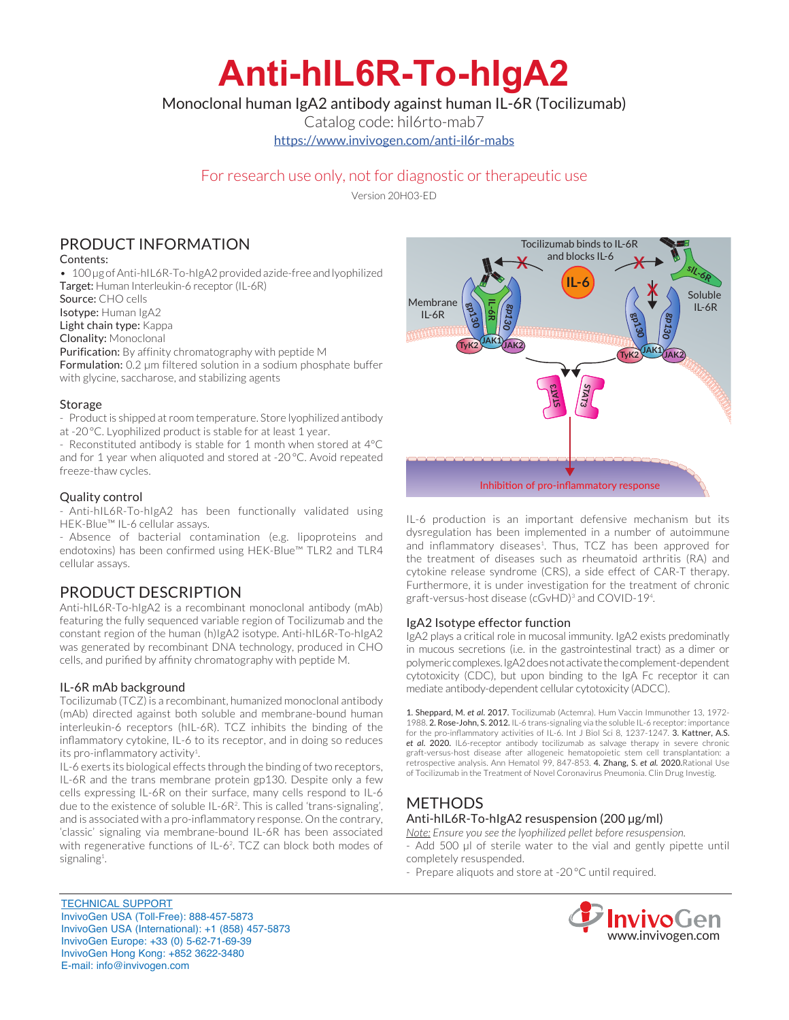# **Anti-hIL6R-To-hIgA2**

Monoclonal human IgA2 antibody against human IL-6R (Tocilizumab)

Catalog code: hil6rto-mab7

https://www.invivogen.com/anti-il6r-mabs

## For research use only, not for diagnostic or therapeutic use

Version 20H03-ED

# PRODUCT INFORMATION

Contents:

• 100 µg of Anti-hIL6R-To-hIgA2 provided azide-free and lyophilized Target: Human Interleukin-6 receptor (IL-6R)

Source: CHO cells

Isotype: Human IgA2

Light chain type: Kappa

Clonality: Monoclonal

Purification: By affinity chromatography with peptide M Formulation: 0.2 µm filtered solution in a sodium phosphate buffer with glycine, saccharose, and stabilizing agents

#### **Storage**

- Product is shipped at room temperature. Store lyophilized antibody at -20 °C. Lyophilized product is stable for at least 1 year.

- Reconstituted antibody is stable for 1 month when stored at 4°C and for 1 year when aliquoted and stored at -20 °C. Avoid repeated freeze-thaw cycles.

#### Quality control

- Anti-hIL6R-To-hIgA2 has been functionally validated using HEK-Blue™ IL-6 cellular assays.

- Absence of bacterial contamination (e.g. lipoproteins and endotoxins) has been confirmed using HEK-Blue™ TLR2 and TLR4 cellular assays.

## PRODUCT DESCRIPTION

Anti-hIL6R-To-hIgA2 is a recombinant monoclonal antibody (mAb) featuring the fully sequenced variable region of Tocilizumab and the constant region of the human (h)IgA2 isotype. Anti-hIL6R-To-hIgA2 was generated by recombinant DNA technology, produced in CHO cells, and purified by affinity chromatography with peptide M.

#### IL-6R mAb background

Tocilizumab (TCZ) is a recombinant, humanized monoclonal antibody (mAb) directed against both soluble and membrane-bound human interleukin-6 receptors (hIL-6R). TCZ inhibits the binding of the inflammatory cytokine, IL-6 to its receptor, and in doing so reduces its pro-inflammatory activity<sup>1</sup>.

IL-6 exerts its biological effects through the binding of two receptors, IL-6R and the trans membrane protein gp130. Despite only a few cells expressing IL-6R on their surface, many cells respond to IL-6 due to the existence of soluble IL-6R2 . This is called 'trans-signaling', and is associated with a pro-inflammatory response. On the contrary, 'classic' signaling via membrane-bound IL-6R has been associated with regenerative functions of IL-62 . TCZ can block both modes of signaling<sup>1</sup>. .



IL-6 production is an important defensive mechanism but its dysregulation has been implemented in a number of autoimmune and inflammatory diseases<sup>1</sup>. Thus, TCZ has been approved for the treatment of diseases such as rheumatoid arthritis (RA) and cytokine release syndrome (CRS), a side effect of CAR-T therapy. Furthermore, it is under investigation for the treatment of chronic graft-versus-host disease (cGvHD)<sup>3</sup> and COVID-19<sup>4</sup>.

#### IgA2 Isotype effector function

IgA2 plays a critical role in mucosal immunity. IgA2 exists predominatly in mucous secretions (i.e. in the gastrointestinal tract) as a dimer or polymeric complexes. IgA2 does not activate the complement-dependent cytotoxicity (CDC), but upon binding to the IgA Fc receptor it can mediate antibody-dependent cellular cytotoxicity (ADCC).

1. Sheppard, M. *et al*. 2017. Tocilizumab (Actemra). Hum Vaccin Immunother 13, 1972- 1988. 2. Rose-John, S. 2012. IL-6 trans-signaling via the soluble IL-6 receptor: importance for the pro-inflammatory activities of IL-6. Int J Biol Sci 8, 1237-1247. 3. Kattner, A.S. *et al*. 2020. IL6-receptor antibody tocilizumab as salvage therapy in severe chronic graft-versus-host disease after allogeneic hematopoietic stem cell transplantation: a retrospective analysis. Ann Hematol 99, 847-853. 4. Zhang, S. *et al.* 2020.Rational Use of Tocilizumab in the Treatment of Novel Coronavirus Pneumonia. Clin Drug Investig.

## METHODS Anti-hIL6R-To-hIgA2 resuspension (200 µg/ml)

*Note: Ensure you see the lyophilized pellet before resuspension.* - Add 500 µl of sterile water to the vial and gently pipette until completely resuspended.

- Prepare aliquots and store at -20 °C until required.



TECHNICAL SUPPORT InvivoGen USA (Toll‑Free): 888-457-5873 InvivoGen USA (International): +1 (858) 457-5873 InvivoGen Europe: +33 (0) 5-62-71-69-39 InvivoGen Hong Kong: +852 3622-3480 E-mail: info@invivogen.com